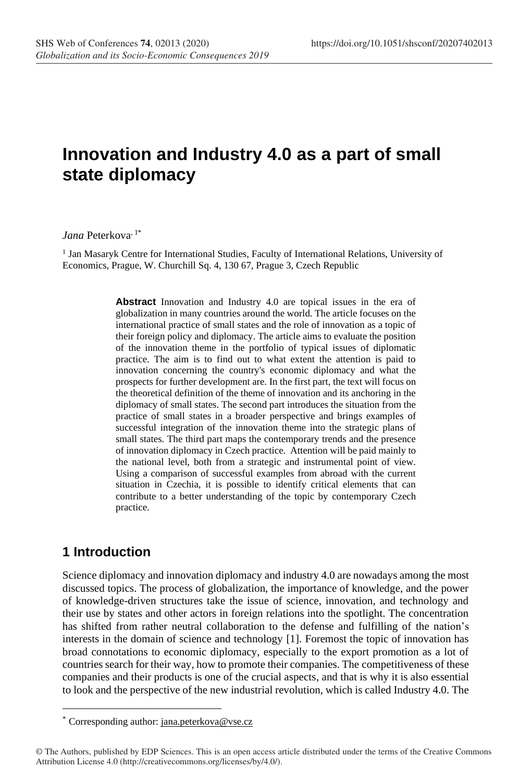# **Innovation and Industry 4.0 as a part of small state diplomacy**

J*ana* Peterkova<sup>, 1\*</sup>

<sup>1</sup> Jan Masaryk Centre for International Studies, Faculty of International Relations, University of Economics, Prague, W. Churchill Sq. 4, 130 67, Prague 3, Czech Republic

> **Abstract** Innovation and Industry 4.0 are topical issues in the era of globalization in many countries around the world. The article focuses on the international practice of small states and the role of innovation as a topic of their foreign policy and diplomacy. The article aims to evaluate the position of the innovation theme in the portfolio of typical issues of diplomatic practice. The aim is to find out to what extent the attention is paid to innovation concerning the country's economic diplomacy and what the prospects for further development are. In the first part, the text will focus on the theoretical definition of the theme of innovation and its anchoring in the diplomacy of small states. The second part introduces the situation from the practice of small states in a broader perspective and brings examples of successful integration of the innovation theme into the strategic plans of small states. The third part maps the contemporary trends and the presence of innovation diplomacy in Czech practice. Attention will be paid mainly to the national level, both from a strategic and instrumental point of view. Using a comparison of successful examples from abroad with the current situation in Czechia, it is possible to identify critical elements that can contribute to a better understanding of the topic by contemporary Czech practice.

## **1 Introduction**

Science diplomacy and innovation diplomacy and industry 4.0 are nowadays among the most discussed topics. The process of globalization, the importance of knowledge, and the power of knowledge-driven structures take the issue of science, innovation, and technology and their use by states and other actors in foreign relations into the spotlight. The concentration has shifted from rather neutral collaboration to the defense and fulfilling of the nation's interests in the domain of science and technology [1]. Foremost the topic of innovation has broad connotations to economic diplomacy, especially to the export promotion as a lot of countries search for their way, how to promote their companies. The competitiveness of these companies and their products is one of the crucial aspects, and that is why it is also essential to look and the perspective of the new industrial revolution, which is called Industry 4.0. The

<sup>\*</sup> Corresponding author: jana.peterkova@vse.cz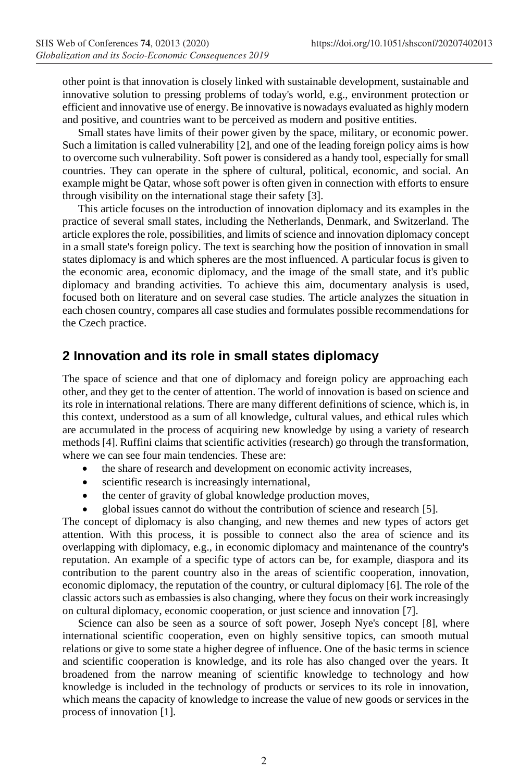other point is that innovation is closely linked with sustainable development, sustainable and innovative solution to pressing problems of today's world, e.g., environment protection or efficient and innovative use of energy. Be innovative is nowadays evaluated as highly modern and positive, and countries want to be perceived as modern and positive entities.

Small states have limits of their power given by the space, military, or economic power. Such a limitation is called vulnerability [2], and one of the leading foreign policy aims is how to overcome such vulnerability. Soft power is considered as a handy tool, especially for small countries. They can operate in the sphere of cultural, political, economic, and social. An example might be Qatar, whose soft power is often given in connection with efforts to ensure through visibility on the international stage their safety [3].

This article focuses on the introduction of innovation diplomacy and its examples in the practice of several small states, including the Netherlands, Denmark, and Switzerland. The article explores the role, possibilities, and limits of science and innovation diplomacy concept in a small state's foreign policy. The text is searching how the position of innovation in small states diplomacy is and which spheres are the most influenced. A particular focus is given to the economic area, economic diplomacy, and the image of the small state, and it's public diplomacy and branding activities. To achieve this aim, documentary analysis is used, focused both on literature and on several case studies. The article analyzes the situation in each chosen country, compares all case studies and formulates possible recommendations for the Czech practice.

## **2 Innovation and its role in small states diplomacy**

The space of science and that one of diplomacy and foreign policy are approaching each other, and they get to the center of attention. The world of innovation is based on science and its role in international relations. There are many different definitions of science, which is, in this context, understood as a sum of all knowledge, cultural values, and ethical rules which are accumulated in the process of acquiring new knowledge by using a variety of research methods [4]. Ruffini claims that scientific activities (research) go through the transformation, where we can see four main tendencies. These are:

- the share of research and development on economic activity increases,
- scientific research is increasingly international,
- the center of gravity of global knowledge production moves,
- global issues cannot do without the contribution of science and research [5].

The concept of diplomacy is also changing, and new themes and new types of actors get attention. With this process, it is possible to connect also the area of science and its overlapping with diplomacy, e.g., in economic diplomacy and maintenance of the country's reputation. An example of a specific type of actors can be, for example, diaspora and its contribution to the parent country also in the areas of scientific cooperation, innovation, economic diplomacy, the reputation of the country, or cultural diplomacy [6]. The role of the classic actors such as embassies is also changing, where they focus on their work increasingly on cultural diplomacy, economic cooperation, or just science and innovation [7].

Science can also be seen as a source of soft power, Joseph Nye's concept [8], where international scientific cooperation, even on highly sensitive topics, can smooth mutual relations or give to some state a higher degree of influence. One of the basic terms in science and scientific cooperation is knowledge, and its role has also changed over the years. It broadened from the narrow meaning of scientific knowledge to technology and how knowledge is included in the technology of products or services to its role in innovation, which means the capacity of knowledge to increase the value of new goods or services in the process of innovation [1].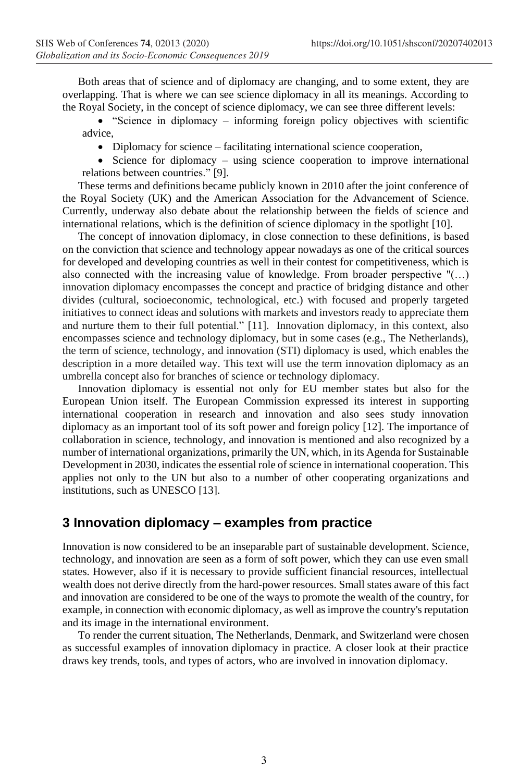Both areas that of science and of diplomacy are changing, and to some extent, they are overlapping. That is where we can see science diplomacy in all its meanings. According to the Royal Society, in the concept of science diplomacy, we can see three different levels:

• "Science in diplomacy – informing foreign policy objectives with scientific advice,

• Diplomacy for science – facilitating international science cooperation,

• Science for diplomacy – using science cooperation to improve international relations between countries." [9].

These terms and definitions became publicly known in 2010 after the joint conference of the Royal Society (UK) and the American Association for the Advancement of Science. Currently, underway also debate about the relationship between the fields of science and international relations, which is the definition of science diplomacy in the spotlight [10].

The concept of innovation diplomacy, in close connection to these definitions, is based on the conviction that science and technology appear nowadays as one of the critical sources for developed and developing countries as well in their contest for competitiveness, which is also connected with the increasing value of knowledge. From broader perspective "(…) innovation diplomacy encompasses the concept and practice of bridging distance and other divides (cultural, socioeconomic, technological, etc.) with focused and properly targeted initiatives to connect ideas and solutions with markets and investors ready to appreciate them and nurture them to their full potential." [11]. Innovation diplomacy, in this context, also encompasses science and technology diplomacy, but in some cases (e.g., The Netherlands), the term of science, technology, and innovation (STI) diplomacy is used, which enables the description in a more detailed way. This text will use the term innovation diplomacy as an umbrella concept also for branches of science or technology diplomacy.

Innovation diplomacy is essential not only for EU member states but also for the European Union itself. The European Commission expressed its interest in supporting international cooperation in research and innovation and also sees study innovation diplomacy as an important tool of its soft power and foreign policy [12]. The importance of collaboration in science, technology, and innovation is mentioned and also recognized by a number of international organizations, primarily the UN, which, in its Agenda for Sustainable Development in 2030, indicates the essential role of science in international cooperation. This applies not only to the UN but also to a number of other cooperating organizations and institutions, such as UNESCO [13].

## **3 Innovation diplomacy – examples from practice**

Innovation is now considered to be an inseparable part of sustainable development. Science, technology, and innovation are seen as a form of soft power, which they can use even small states. However, also if it is necessary to provide sufficient financial resources, intellectual wealth does not derive directly from the hard-power resources. Small states aware of this fact and innovation are considered to be one of the ways to promote the wealth of the country, for example, in connection with economic diplomacy, as well as improve the country's reputation and its image in the international environment.

To render the current situation, The Netherlands, Denmark, and Switzerland were chosen as successful examples of innovation diplomacy in practice. A closer look at their practice draws key trends, tools, and types of actors, who are involved in innovation diplomacy.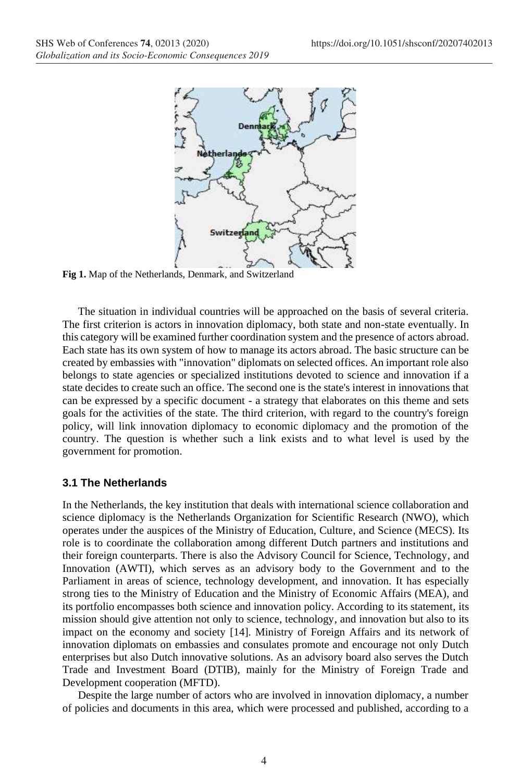

**Fig 1.** Map of the Netherlands, Denmark, and Switzerland

The situation in individual countries will be approached on the basis of several criteria. The first criterion is actors in innovation diplomacy, both state and non-state eventually. In this category will be examined further coordination system and the presence of actors abroad. Each state has its own system of how to manage its actors abroad. The basic structure can be created by embassies with "innovation" diplomats on selected offices. An important role also belongs to state agencies or specialized institutions devoted to science and innovation if a state decides to create such an office. The second one is the state's interest in innovations that can be expressed by a specific document - a strategy that elaborates on this theme and sets goals for the activities of the state. The third criterion, with regard to the country's foreign policy, will link innovation diplomacy to economic diplomacy and the promotion of the country. The question is whether such a link exists and to what level is used by the government for promotion.

#### **3.1 The Netherlands**

In the Netherlands, the key institution that deals with international science collaboration and science diplomacy is the Netherlands Organization for Scientific Research (NWO), which operates under the auspices of the Ministry of Education, Culture, and Science (MECS). Its role is to coordinate the collaboration among different Dutch partners and institutions and their foreign counterparts. There is also the Advisory Council for Science, Technology, and Innovation (AWTI), which serves as an advisory body to the Government and to the Parliament in areas of science, technology development, and innovation. It has especially strong ties to the Ministry of Education and the Ministry of Economic Affairs (MEA), and its portfolio encompasses both science and innovation policy. According to its statement, its mission should give attention not only to science, technology, and innovation but also to its impact on the economy and society [14]. Ministry of Foreign Affairs and its network of innovation diplomats on embassies and consulates promote and encourage not only Dutch enterprises but also Dutch innovative solutions. As an advisory board also serves the Dutch Trade and Investment Board (DTIB), mainly for the Ministry of Foreign Trade and Development cooperation (MFTD).

Despite the large number of actors who are involved in innovation diplomacy, a number of policies and documents in this area, which were processed and published, according to a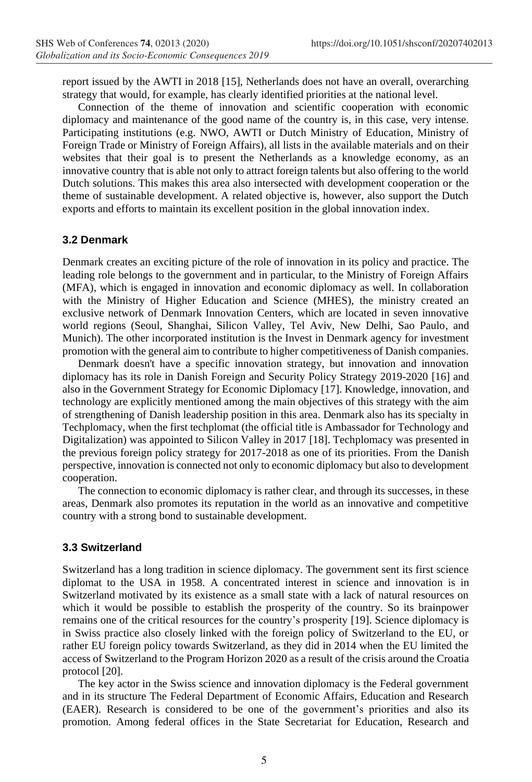report issued by the AWTI in 2018 [15], Netherlands does not have an overall, overarching strategy that would, for example, has clearly identified priorities at the national level.

Connection of the theme of innovation and scientific cooperation with economic diplomacy and maintenance of the good name of the country is, in this case, very intense. Participating institutions (e.g. NWO, AWTI or Dutch Ministry of Education, Ministry of Foreign Trade or Ministry of Foreign Affairs), all lists in the available materials and on their websites that their goal is to present the Netherlands as a knowledge economy, as an innovative country that is able not only to attract foreign talents but also offering to the world Dutch solutions. This makes this area also intersected with development cooperation or the theme of sustainable development. A related objective is, however, also support the Dutch exports and efforts to maintain its excellent position in the global innovation index.

#### **3.2 Denmark**

Denmark creates an exciting picture of the role of innovation in its policy and practice. The leading role belongs to the government and in particular, to the Ministry of Foreign Affairs (MFA), which is engaged in innovation and economic diplomacy as well. In collaboration with the Ministry of Higher Education and Science (MHES), the ministry created an exclusive network of Denmark Innovation Centers, which are located in seven innovative world regions (Seoul, Shanghai, Silicon Valley, Tel Aviv, New Delhi, Sao Paulo, and Munich). The other incorporated institution is the Invest in Denmark agency for investment promotion with the general aim to contribute to higher competitiveness of Danish companies.

Denmark doesn't have a specific innovation strategy, but innovation and innovation diplomacy has its role in Danish Foreign and Security Policy Strategy 2019-2020 [16] and also in the Government Strategy for Economic Diplomacy [17]. Knowledge, innovation, and technology are explicitly mentioned among the main objectives of this strategy with the aim of strengthening of Danish leadership position in this area. Denmark also has its specialty in Techplomacy, when the first techplomat (the official title is Ambassador for Technology and Digitalization) was appointed to Silicon Valley in 2017 [18]. Techplomacy was presented in the previous foreign policy strategy for 2017-2018 as one of its priorities. From the Danish perspective, innovation is connected not only to economic diplomacy but also to development cooperation.

The connection to economic diplomacy is rather clear, and through its successes, in these areas, Denmark also promotes its reputation in the world as an innovative and competitive country with a strong bond to sustainable development.

#### **3.3 Switzerland**

Switzerland has a long tradition in science diplomacy. The government sent its first science diplomat to the USA in 1958. A concentrated interest in science and innovation is in Switzerland motivated by its existence as a small state with a lack of natural resources on which it would be possible to establish the prosperity of the country. So its brainpower remains one of the critical resources for the country's prosperity [19]. Science diplomacy is in Swiss practice also closely linked with the foreign policy of Switzerland to the EU, or rather EU foreign policy towards Switzerland, as they did in 2014 when the EU limited the access of Switzerland to the Program Horizon 2020 as a result of the crisis around the Croatia protocol [20].

The key actor in the Swiss science and innovation diplomacy is the Federal government and in its structure The Federal Department of Economic Affairs, Education and Research (EAER). Research is considered to be one of the government's priorities and also its promotion. Among federal offices in the State Secretariat for Education, Research and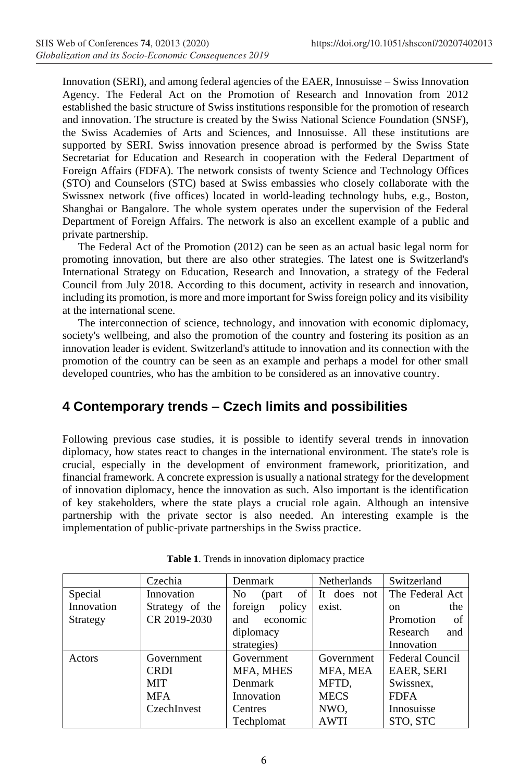Innovation (SERI), and among federal agencies of the EAER, Innosuisse – Swiss Innovation Agency. The Federal Act on the Promotion of Research and Innovation from 2012 established the basic structure of Swiss institutions responsible for the promotion of research and innovation. The structure is created by the Swiss National Science Foundation (SNSF), the Swiss Academies of Arts and Sciences, and Innosuisse. All these institutions are supported by SERI. Swiss innovation presence abroad is performed by the Swiss State Secretariat for Education and Research in cooperation with the Federal Department of Foreign Affairs (FDFA). The network consists of twenty Science and Technology Offices (STO) and Counselors (STC) based at Swiss embassies who closely collaborate with the Swissnex network (five offices) located in world-leading technology hubs, e.g., Boston, Shanghai or Bangalore. The whole system operates under the supervision of the Federal Department of Foreign Affairs. The network is also an excellent example of a public and private partnership.

The Federal Act of the Promotion (2012) can be seen as an actual basic legal norm for promoting innovation, but there are also other strategies. The latest one is Switzerland's International Strategy on Education, Research and Innovation, a strategy of the Federal Council from July 2018. According to this document, activity in research and innovation, including its promotion, is more and more important for Swiss foreign policy and its visibility at the international scene.

The interconnection of science, technology, and innovation with economic diplomacy, society's wellbeing, and also the promotion of the country and fostering its position as an innovation leader is evident. Switzerland's attitude to innovation and its connection with the promotion of the country can be seen as an example and perhaps a model for other small developed countries, who has the ambition to be considered as an innovative country.

# **4 Contemporary trends – Czech limits and possibilities**

Following previous case studies, it is possible to identify several trends in innovation diplomacy, how states react to changes in the international environment. The state's role is crucial, especially in the development of environment framework, prioritization, and financial framework. A concrete expression is usually a national strategy for the development of innovation diplomacy, hence the innovation as such. Also important is the identification of key stakeholders, where the state plays a crucial role again. Although an intensive partnership with the private sector is also needed. An interesting example is the implementation of public-private partnerships in the Swiss practice.

|            | Czechia         | <b>Denmark</b>                 | <b>Netherlands</b> | Switzerland          |
|------------|-----------------|--------------------------------|--------------------|----------------------|
| Special    | Innovation      | of<br>N <sub>0</sub><br>(part) | It does not        | The Federal Act      |
| Innovation | Strategy of the | policy<br>foreign              | exist.             | the<br><sub>on</sub> |
| Strategy   | CR 2019-2030    | and<br>economic                |                    | Promotion<br>of      |
|            |                 | diplomacy                      |                    | Research<br>and      |
|            |                 | strategies)                    |                    | Innovation           |
| Actors     | Government      | Government                     | Government         | Federal Council      |
|            | <b>CRDI</b>     | MFA, MHES                      | MFA, MEA           | EAER, SERI           |
|            | <b>MIT</b>      | <b>Denmark</b>                 | MFTD,              | Swissnex,            |
|            | <b>MFA</b>      | Innovation                     | <b>MECS</b>        | <b>FDFA</b>          |
|            | CzechInvest     | <b>Centres</b>                 | NWO.               | Innosuisse           |
|            |                 | Techplomat                     | <b>AWTI</b>        | STO. STC             |

**Table 1**. Trends in innovation diplomacy practice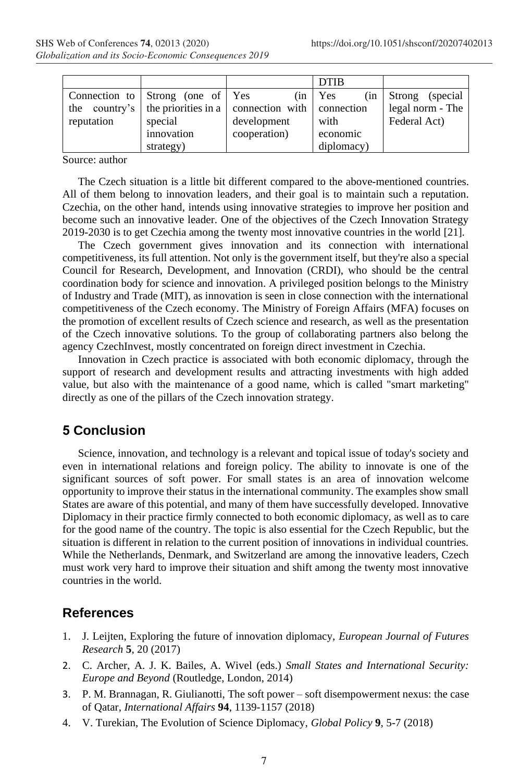|            |                                  |                                                                                      | <b>DTIB</b> |                     |
|------------|----------------------------------|--------------------------------------------------------------------------------------|-------------|---------------------|
|            | Connection to Strong (one of Yes | (in                                                                                  | Yes<br>(in  | Strong<br>(special) |
|            |                                  | the country's $\vert$ the priorities in a $\vert$ connection with $\vert$ connection |             | legal norm - The    |
| reputation | special                          | development                                                                          | with        | Federal Act)        |
|            | innovation                       | cooperation)                                                                         | economic    |                     |
|            | strategy)                        |                                                                                      | diplomacy)  |                     |

Source: author

The Czech situation is a little bit different compared to the above-mentioned countries. All of them belong to innovation leaders, and their goal is to maintain such a reputation. Czechia, on the other hand, intends using innovative strategies to improve her position and become such an innovative leader. One of the objectives of the Czech Innovation Strategy 2019-2030 is to get Czechia among the twenty most innovative countries in the world [21].

The Czech government gives innovation and its connection with international competitiveness, its full attention. Not only is the government itself, but they're also a special Council for Research, Development, and Innovation (CRDI), who should be the central coordination body for science and innovation. A privileged position belongs to the Ministry of Industry and Trade (MIT), as innovation is seen in close connection with the international competitiveness of the Czech economy. The Ministry of Foreign Affairs (MFA) focuses on the promotion of excellent results of Czech science and research, as well as the presentation of the Czech innovative solutions. To the group of collaborating partners also belong the agency CzechInvest, mostly concentrated on foreign direct investment in Czechia.

Innovation in Czech practice is associated with both economic diplomacy, through the support of research and development results and attracting investments with high added value, but also with the maintenance of a good name, which is called "smart marketing" directly as one of the pillars of the Czech innovation strategy.

### **5 Conclusion**

Science, innovation, and technology is a relevant and topical issue of today's society and even in international relations and foreign policy. The ability to innovate is one of the significant sources of soft power. For small states is an area of innovation welcome opportunity to improve their status in the international community. The examples show small States are aware of this potential, and many of them have successfully developed. Innovative Diplomacy in their practice firmly connected to both economic diplomacy, as well as to care for the good name of the country. The topic is also essential for the Czech Republic, but the situation is different in relation to the current position of innovations in individual countries. While the Netherlands, Denmark, and Switzerland are among the innovative leaders, Czech must work very hard to improve their situation and shift among the twenty most innovative countries in the world.

### **References**

- 1. J. Leijten, Exploring the future of innovation diplomacy, *European Journal of Futures Research* **5**, 20 (2017)
- 2. C. Archer, A. J. K. Bailes, A. Wivel (eds.) *Small States and International Security: Europe and Beyond* (Routledge, London, 2014)
- 3. P. M. Brannagan, R. Giulianotti, The soft power soft disempowerment nexus: the case of Qatar, *International Affairs* **94**, 1139-1157 (2018)
- 4. V. Turekian, The Evolution of Science Diplomacy, *Global Policy* **9**, 5-7 (2018)